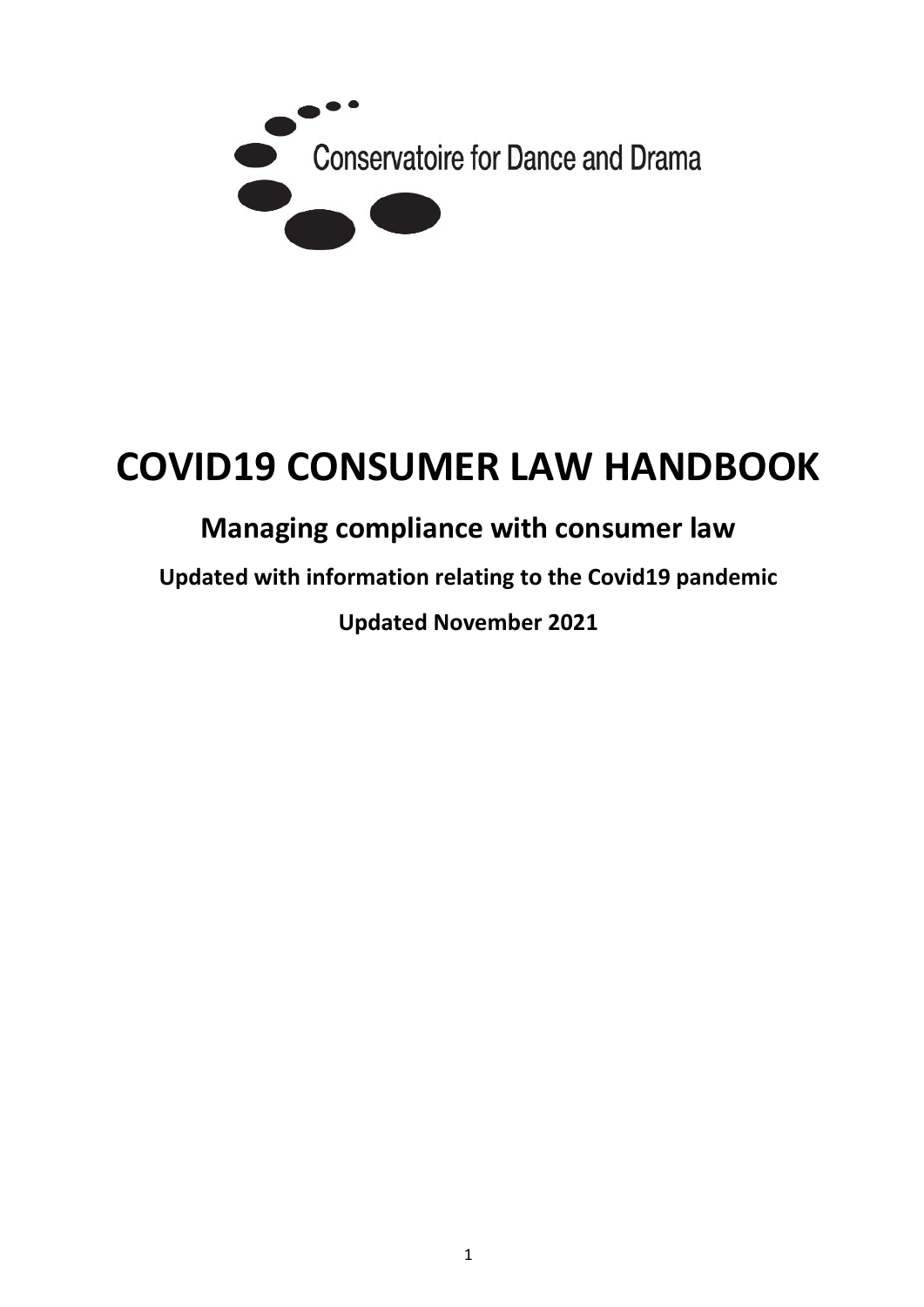

# **COVID19 CONSUMER LAW HANDBOOK**

# **Managing compliance with consumer law**

**Updated with information relating to the Covid19 pandemic** 

**Updated November 2021**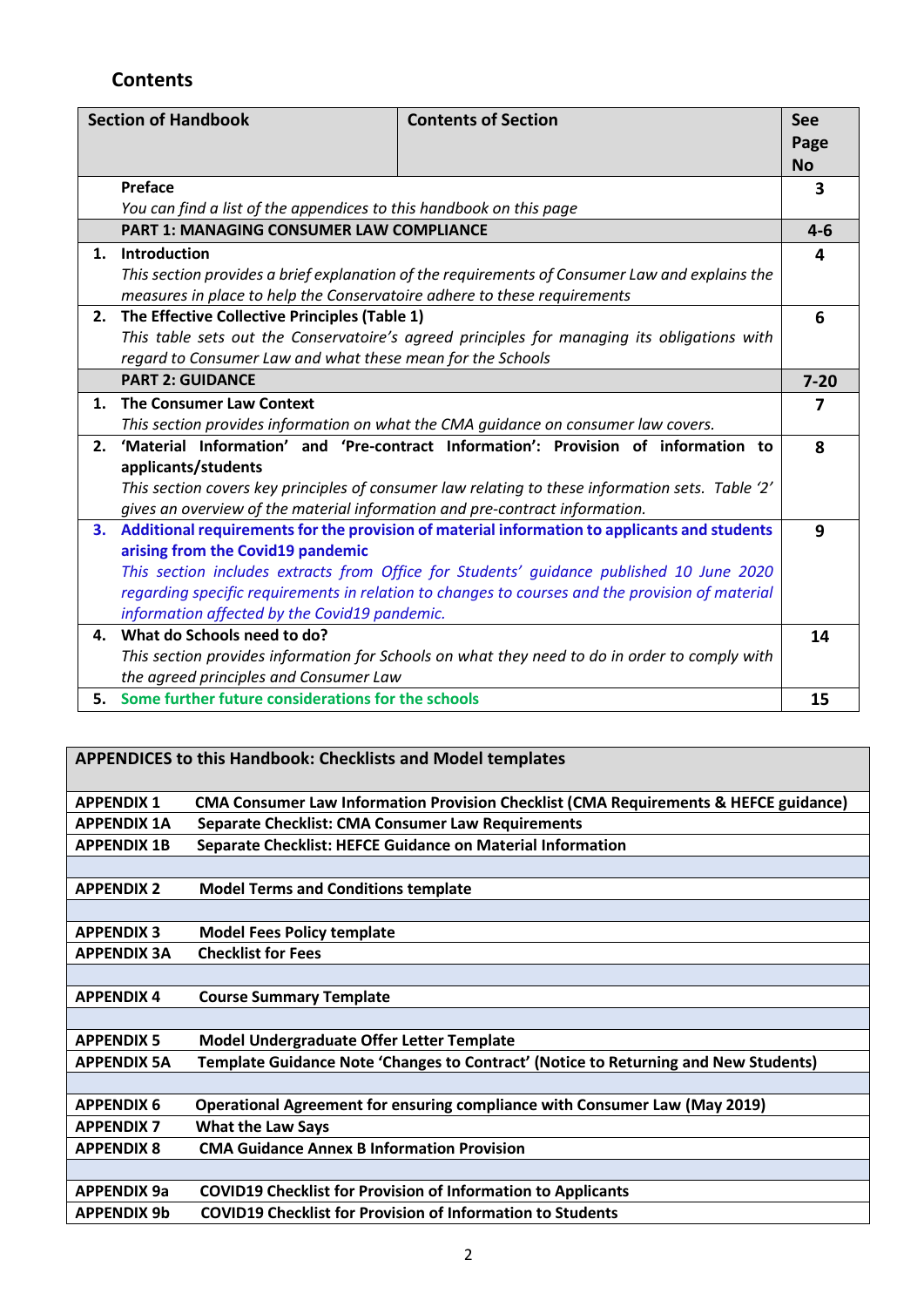# **Contents**

| <b>Section of Handbook</b> |                                                                                                | <b>Contents of Section</b>                                                                       | See<br>Page |
|----------------------------|------------------------------------------------------------------------------------------------|--------------------------------------------------------------------------------------------------|-------------|
|                            |                                                                                                |                                                                                                  | <b>No</b>   |
|                            | Preface                                                                                        |                                                                                                  | 3           |
|                            | You can find a list of the appendices to this handbook on this page                            |                                                                                                  |             |
|                            | <b>PART 1: MANAGING CONSUMER LAW COMPLIANCE</b>                                                |                                                                                                  | $4 - 6$     |
| 1.                         | <b>Introduction</b>                                                                            |                                                                                                  | 4           |
|                            | This section provides a brief explanation of the requirements of Consumer Law and explains the |                                                                                                  |             |
|                            | measures in place to help the Conservatoire adhere to these requirements                       |                                                                                                  |             |
| 2.                         | The Effective Collective Principles (Table 1)                                                  |                                                                                                  | 6           |
|                            | This table sets out the Conservatoire's agreed principles for managing its obligations with    |                                                                                                  |             |
|                            | regard to Consumer Law and what these mean for the Schools                                     |                                                                                                  |             |
|                            | <b>PART 2: GUIDANCE</b>                                                                        |                                                                                                  | $7 - 20$    |
| 1.                         | <b>The Consumer Law Context</b>                                                                |                                                                                                  | 7           |
|                            | This section provides information on what the CMA guidance on consumer law covers.             |                                                                                                  |             |
| 2.                         | 'Material Information' and 'Pre-contract Information': Provision of information to             |                                                                                                  |             |
|                            | applicants/students                                                                            |                                                                                                  |             |
|                            |                                                                                                | This section covers key principles of consumer law relating to these information sets. Table '2' |             |
|                            | gives an overview of the material information and pre-contract information.                    |                                                                                                  |             |
| З.                         | Additional requirements for the provision of material information to applicants and students   |                                                                                                  | 9           |
|                            | arising from the Covid19 pandemic                                                              |                                                                                                  |             |
|                            |                                                                                                | This section includes extracts from Office for Students' guidance published 10 June 2020         |             |
|                            |                                                                                                | regarding specific requirements in relation to changes to courses and the provision of material  |             |
|                            | information affected by the Covid19 pandemic.                                                  |                                                                                                  |             |
| 4.                         | What do Schools need to do?                                                                    |                                                                                                  | 14          |
|                            |                                                                                                | This section provides information for Schools on what they need to do in order to comply with    |             |
|                            | the agreed principles and Consumer Law                                                         |                                                                                                  |             |
|                            | 5. Some further future considerations for the schools                                          |                                                                                                  | 15          |

# **APPENDICES to this Handbook: Checklists and Model templates**

| <b>APPENDIX 1</b>  | <b>CMA Consumer Law Information Provision Checklist (CMA Requirements &amp; HEFCE guidance)</b> |
|--------------------|-------------------------------------------------------------------------------------------------|
| <b>APPENDIX 1A</b> | <b>Separate Checklist: CMA Consumer Law Requirements</b>                                        |
| <b>APPENDIX 1B</b> | <b>Separate Checklist: HEFCE Guidance on Material Information</b>                               |
|                    |                                                                                                 |
| <b>APPENDIX 2</b>  | <b>Model Terms and Conditions template</b>                                                      |
|                    |                                                                                                 |
| <b>APPENDIX 3</b>  | <b>Model Fees Policy template</b>                                                               |
| <b>APPENDIX 3A</b> | <b>Checklist for Fees</b>                                                                       |
|                    |                                                                                                 |
| <b>APPENDIX 4</b>  | <b>Course Summary Template</b>                                                                  |
|                    |                                                                                                 |
| <b>APPENDIX 5</b>  | <b>Model Undergraduate Offer Letter Template</b>                                                |
| <b>APPENDIX 5A</b> | Template Guidance Note 'Changes to Contract' (Notice to Returning and New Students)             |
|                    |                                                                                                 |
| <b>APPENDIX 6</b>  | Operational Agreement for ensuring compliance with Consumer Law (May 2019)                      |
| <b>APPENDIX 7</b>  | <b>What the Law Says</b>                                                                        |
| <b>APPENDIX 8</b>  | <b>CMA Guidance Annex B Information Provision</b>                                               |
|                    |                                                                                                 |
| <b>APPENDIX 9a</b> | <b>COVID19 Checklist for Provision of Information to Applicants</b>                             |
| <b>APPENDIX 9b</b> | <b>COVID19 Checklist for Provision of Information to Students</b>                               |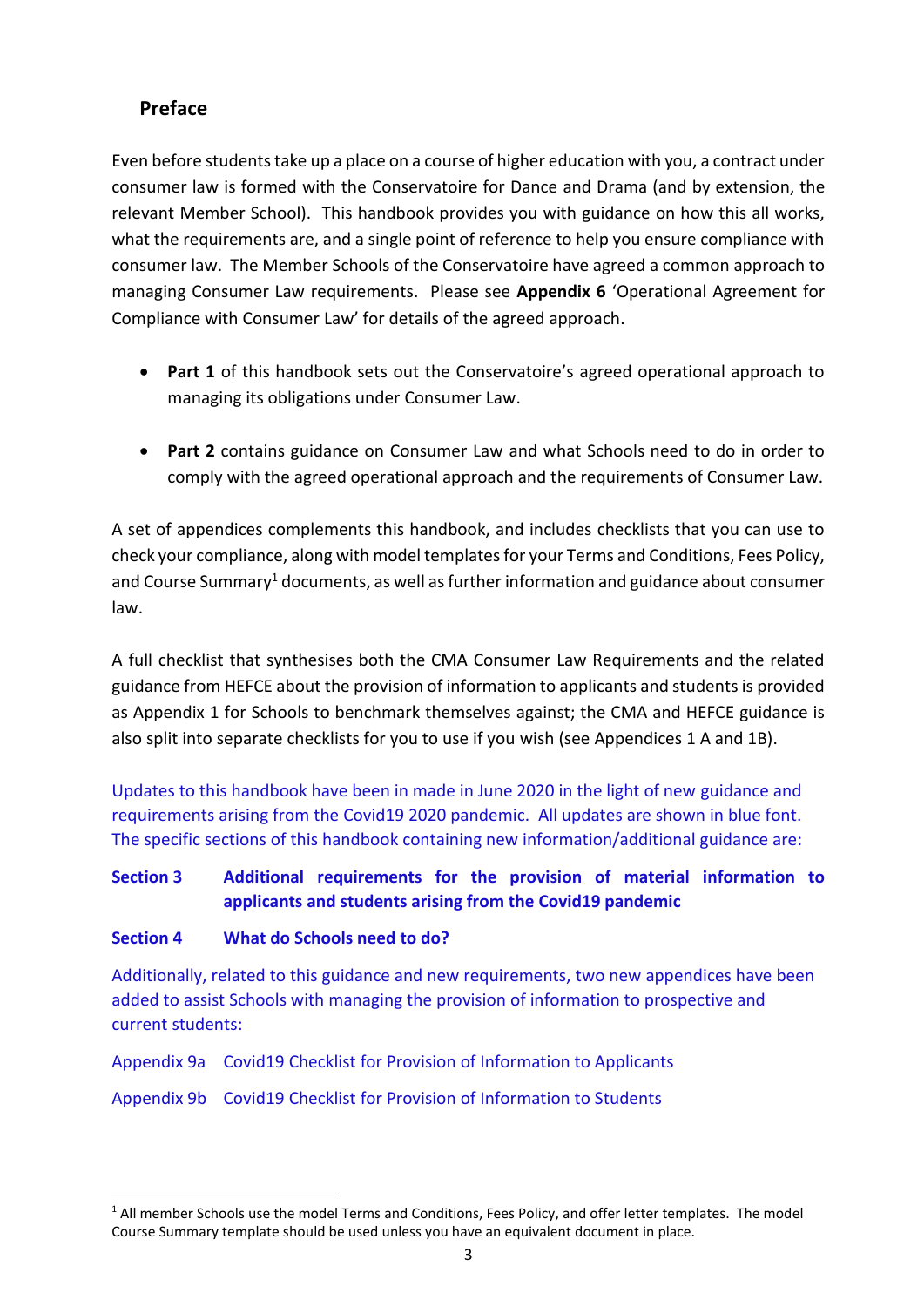#### **Preface**

Even before students take up a place on a course of higher education with you, a contract under consumer law is formed with the Conservatoire for Dance and Drama (and by extension, the relevant Member School). This handbook provides you with guidance on how this all works, what the requirements are, and a single point of reference to help you ensure compliance with consumer law. The Member Schools of the Conservatoire have agreed a common approach to managing Consumer Law requirements. Please see **Appendix 6** 'Operational Agreement for Compliance with Consumer Law' for details of the agreed approach.

- **Part 1** of this handbook sets out the Conservatoire's agreed operational approach to managing its obligations under Consumer Law.
- **Part 2** contains guidance on Consumer Law and what Schools need to do in order to comply with the agreed operational approach and the requirements of Consumer Law.

A set of appendices complements this handbook, and includes checklists that you can use to check your compliance, along with model templates for your Terms and Conditions, Fees Policy, and Course Summary<sup>1</sup> documents, as well as further information and guidance about consumer law.

A full checklist that synthesises both the CMA Consumer Law Requirements and the related guidance from HEFCE about the provision of information to applicants and students is provided as Appendix 1 for Schools to benchmark themselves against; the CMA and HEFCE guidance is also split into separate checklists for you to use if you wish (see Appendices 1 A and 1B).

Updates to this handbook have been in made in June 2020 in the light of new guidance and requirements arising from the Covid19 2020 pandemic. All updates are shown in blue font. The specific sections of this handbook containing new information/additional guidance are:

#### **Section 3 Additional requirements for the provision of material information to applicants and students arising from the Covid19 pandemic**

#### **Section 4 What do Schools need to do?**

Additionally, related to this guidance and new requirements, two new appendices have been added to assist Schools with managing the provision of information to prospective and current students:

Appendix 9a Covid19 Checklist for Provision of Information to Applicants

Appendix 9b Covid19 Checklist for Provision of Information to Students

<sup>&</sup>lt;sup>1</sup> All member Schools use the model Terms and Conditions, Fees Policy, and offer letter templates. The model Course Summary template should be used unless you have an equivalent document in place.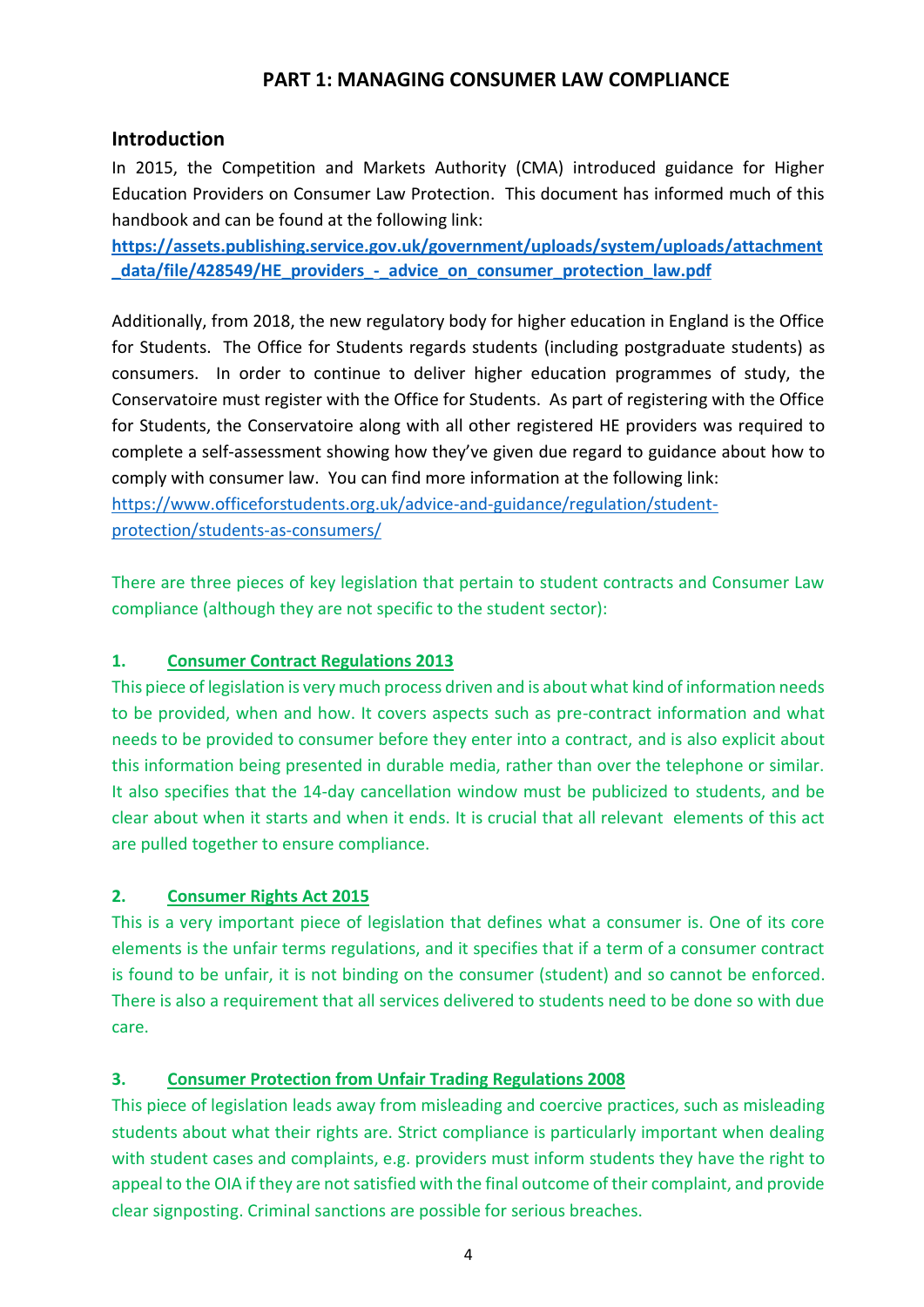#### **PART 1: MANAGING CONSUMER LAW COMPLIANCE**

#### **Introduction**

In 2015, the Competition and Markets Authority (CMA) introduced guidance for Higher Education Providers on Consumer Law Protection. This document has informed much of this handbook and can be found at the following link:

**[https://assets.publishing.service.gov.uk/government/uploads/system/uploads/attachment](https://assets.publishing.service.gov.uk/government/uploads/system/uploads/attachment_data/file/428549/HE_providers_-_advice_on_consumer_protection_law.pdf) [\\_data/file/428549/HE\\_providers\\_-\\_advice\\_on\\_consumer\\_protection\\_law.pdf](https://assets.publishing.service.gov.uk/government/uploads/system/uploads/attachment_data/file/428549/HE_providers_-_advice_on_consumer_protection_law.pdf)**

Additionally, from 2018, the new regulatory body for higher education in England is the Office for Students. The Office for Students regards students (including postgraduate students) as consumers. In order to continue to deliver higher education programmes of study, the Conservatoire must register with the Office for Students. As part of registering with the Office for Students, the Conservatoire along with all other registered HE providers was required to complete a self-assessment showing how they've given due regard to guidance about how to comply with consumer law. You can find more information at the following link:

[https://www.officeforstudents.org.uk/advice-and-guidance/regulation/student](https://www.officeforstudents.org.uk/advice-and-guidance/regulation/student-protection/students-as-consumers/)[protection/students-as-consumers/](https://www.officeforstudents.org.uk/advice-and-guidance/regulation/student-protection/students-as-consumers/)

There are three pieces of key legislation that pertain to student contracts and Consumer Law compliance (although they are not specific to the student sector):

#### **1. [Consumer Contract Regulations 2013](https://www.legislation.gov.uk/uksi/2013/3134/contents/made)**

This piece of legislation is very much process driven and is about what kind of information needs to be provided, when and how. It covers aspects such as pre-contract information and what needs to be provided to consumer before they enter into a contract, and is also explicit about this information being presented in durable media, rather than over the telephone or similar. It also specifies that the 14-day cancellation window must be publicized to students, and be clear about when it starts and when it ends. It is crucial that all relevant elements of this act are pulled together to ensure compliance.

#### **2. [Consumer Rights Act 2015](https://www.gov.uk/government/publications/consumer-rights-act-2015/consumer-rights-act-2015)**

This is a very important piece of legislation that defines what a consumer is. One of its core elements is the unfair terms regulations, and it specifies that if a term of a consumer contract is found to be unfair, it is not binding on the consumer (student) and so cannot be enforced. There is also a requirement that all services delivered to students need to be done so with due care.

#### **3. [Consumer Protection from Unfair Trading Regulations 2008](https://www.legislation.gov.uk/uksi/2008/1277/contents/made)**

This piece of legislation leads away from misleading and coercive practices, such as misleading students about what their rights are. Strict compliance is particularly important when dealing with student cases and complaints, e.g. providers must inform students they have the right to appeal to the OIA if they are not satisfied with the final outcome of their complaint, and provide clear signposting. Criminal sanctions are possible for serious breaches.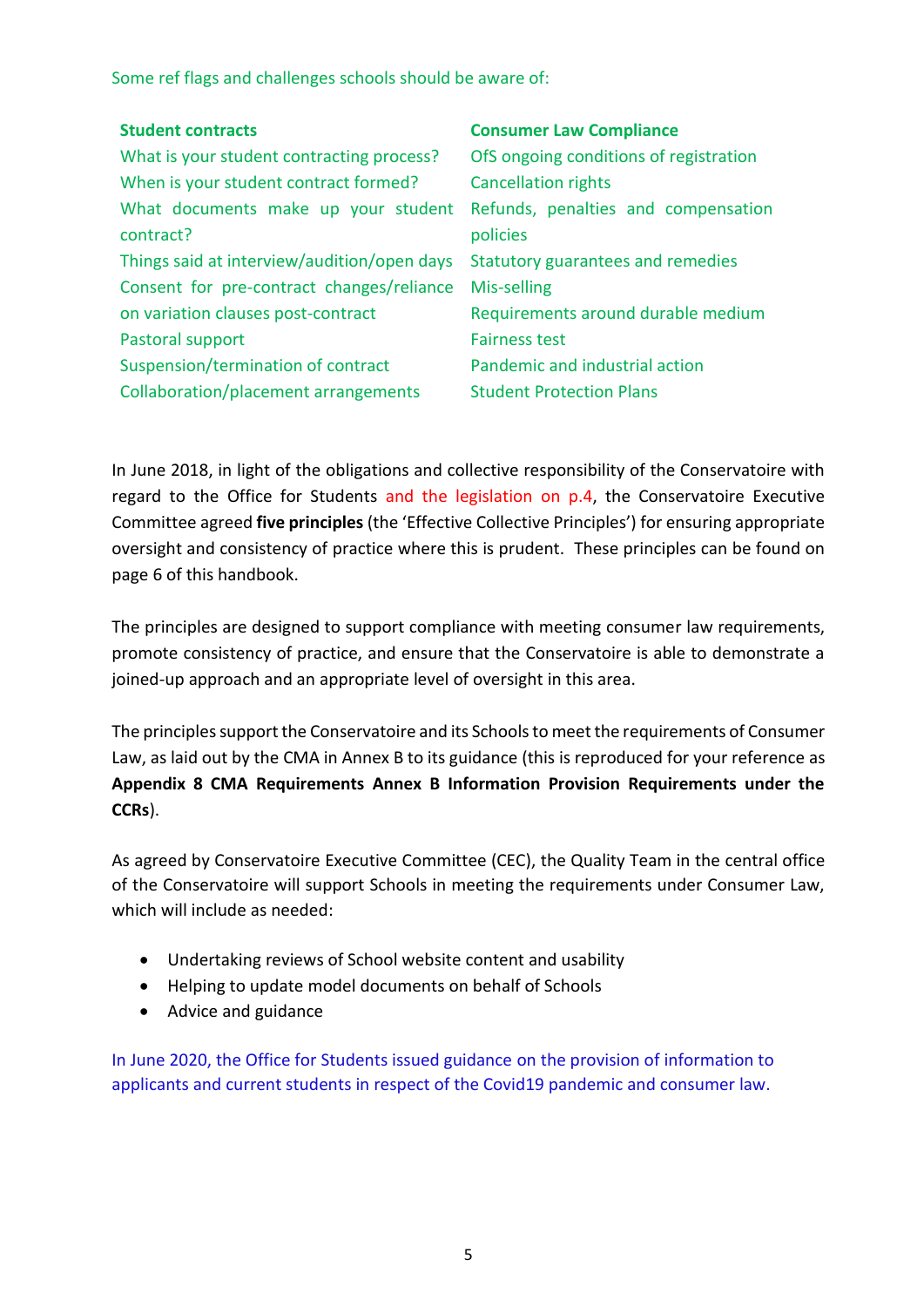Some ref flags and challenges schools should be aware of:

| <b>Student contracts</b>                    | <b>Consumer Law Compliance</b>         |
|---------------------------------------------|----------------------------------------|
| What is your student contracting process?   | OfS ongoing conditions of registration |
| When is your student contract formed?       | <b>Cancellation rights</b>             |
| What documents make up your student         | Refunds, penalties and compensation    |
| contract?                                   | policies                               |
| Things said at interview/audition/open days | Statutory guarantees and remedies      |
| Consent for pre-contract changes/reliance   | Mis-selling                            |
| on variation clauses post-contract          | Requirements around durable medium     |
| Pastoral support                            | <b>Fairness test</b>                   |
| Suspension/termination of contract          | Pandemic and industrial action         |
| Collaboration/placement arrangements        | <b>Student Protection Plans</b>        |

In June 2018, in light of the obligations and collective responsibility of the Conservatoire with regard to the Office for Students and the legislation on p.4, the Conservatoire Executive Committee agreed **five principles** (the 'Effective Collective Principles') for ensuring appropriate oversight and consistency of practice where this is prudent. These principles can be found on page 6 of this handbook.

The principles are designed to support compliance with meeting consumer law requirements, promote consistency of practice, and ensure that the Conservatoire is able to demonstrate a joined-up approach and an appropriate level of oversight in this area.

The principles support the Conservatoire and its Schools to meet the requirements of Consumer Law, as laid out by the CMA in Annex B to its guidance (this is reproduced for your reference as **Appendix 8 CMA Requirements Annex B Information Provision Requirements under the CCRs**).

As agreed by Conservatoire Executive Committee (CEC), the Quality Team in the central office of the Conservatoire will support Schools in meeting the requirements under Consumer Law, which will include as needed:

- Undertaking reviews of School website content and usability
- Helping to update model documents on behalf of Schools
- Advice and guidance

In June 2020, the Office for Students issued guidance on the provision of information to applicants and current students in respect of the Covid19 pandemic and consumer law.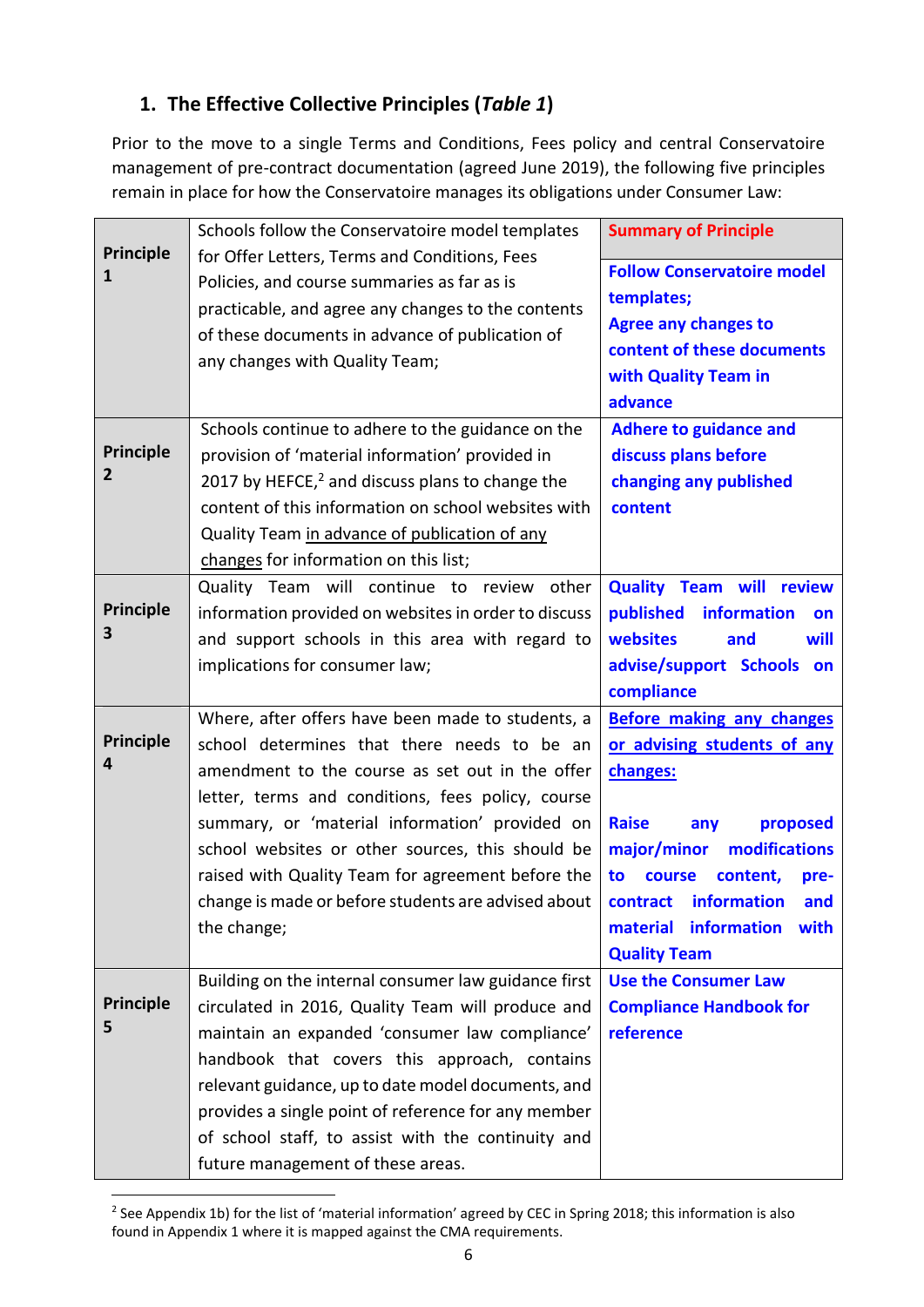# **1. The Effective Collective Principles (***Table 1***)**

Prior to the move to a single Terms and Conditions, Fees policy and central Conservatoire management of pre-contract documentation (agreed June 2019), the following five principles remain in place for how the Conservatoire manages its obligations under Consumer Law:

|                       | Schools follow the Conservatoire model templates                                                      | <b>Summary of Principle</b><br><b>Follow Conservatoire model</b><br>templates; |  |
|-----------------------|-------------------------------------------------------------------------------------------------------|--------------------------------------------------------------------------------|--|
| <b>Principle</b><br>1 | for Offer Letters, Terms and Conditions, Fees                                                         |                                                                                |  |
|                       | Policies, and course summaries as far as is                                                           |                                                                                |  |
|                       | practicable, and agree any changes to the contents<br>of these documents in advance of publication of | <b>Agree any changes to</b>                                                    |  |
|                       | any changes with Quality Team;                                                                        | content of these documents                                                     |  |
|                       |                                                                                                       | with Quality Team in                                                           |  |
|                       |                                                                                                       | advance                                                                        |  |
|                       | Schools continue to adhere to the guidance on the                                                     | <b>Adhere to guidance and</b>                                                  |  |
| <b>Principle</b>      | provision of 'material information' provided in                                                       | discuss plans before                                                           |  |
| 2                     | 2017 by HEFCE, <sup>2</sup> and discuss plans to change the                                           | changing any published                                                         |  |
|                       | content of this information on school websites with                                                   | content                                                                        |  |
|                       | Quality Team in advance of publication of any                                                         |                                                                                |  |
|                       | changes for information on this list;                                                                 |                                                                                |  |
|                       | Quality Team will continue to review<br>other                                                         | <b>Quality Team will review</b>                                                |  |
| <b>Principle</b>      | information provided on websites in order to discuss                                                  | published<br>information<br>on                                                 |  |
| 3                     | and support schools in this area with regard to                                                       | websites<br>and<br>will                                                        |  |
|                       | implications for consumer law;                                                                        | advise/support Schools on                                                      |  |
|                       |                                                                                                       | compliance                                                                     |  |
|                       | Where, after offers have been made to students, a                                                     | <b>Before making any changes</b>                                               |  |
| <b>Principle</b><br>4 | school determines that there needs to be an                                                           | or advising students of any                                                    |  |
|                       | amendment to the course as set out in the offer                                                       | changes:                                                                       |  |
|                       | letter, terms and conditions, fees policy, course                                                     |                                                                                |  |
|                       | summary, or 'material information' provided on<br>school websites or other sources, this should be    | <b>Raise</b><br>proposed<br>any<br>modifications                               |  |
|                       | raised with Quality Team for agreement before the                                                     | major/minor<br>to<br>course<br>content,<br>pre-                                |  |
|                       | change is made or before students are advised about                                                   | contract information<br>and                                                    |  |
|                       | the change;                                                                                           | information<br>material<br>with                                                |  |
|                       |                                                                                                       | <b>Quality Team</b>                                                            |  |
|                       | Building on the internal consumer law guidance first                                                  | <b>Use the Consumer Law</b>                                                    |  |
| <b>Principle</b>      | circulated in 2016, Quality Team will produce and                                                     | <b>Compliance Handbook for</b>                                                 |  |
| 5                     | maintain an expanded 'consumer law compliance'                                                        | reference                                                                      |  |
|                       | handbook that covers this approach, contains                                                          |                                                                                |  |
|                       | relevant guidance, up to date model documents, and                                                    |                                                                                |  |
|                       | provides a single point of reference for any member                                                   |                                                                                |  |
|                       |                                                                                                       |                                                                                |  |
|                       | of school staff, to assist with the continuity and                                                    |                                                                                |  |

<sup>&</sup>lt;sup>2</sup> See Appendix 1b) for the list of 'material information' agreed by CEC in Spring 2018; this information is also found in Appendix 1 where it is mapped against the CMA requirements.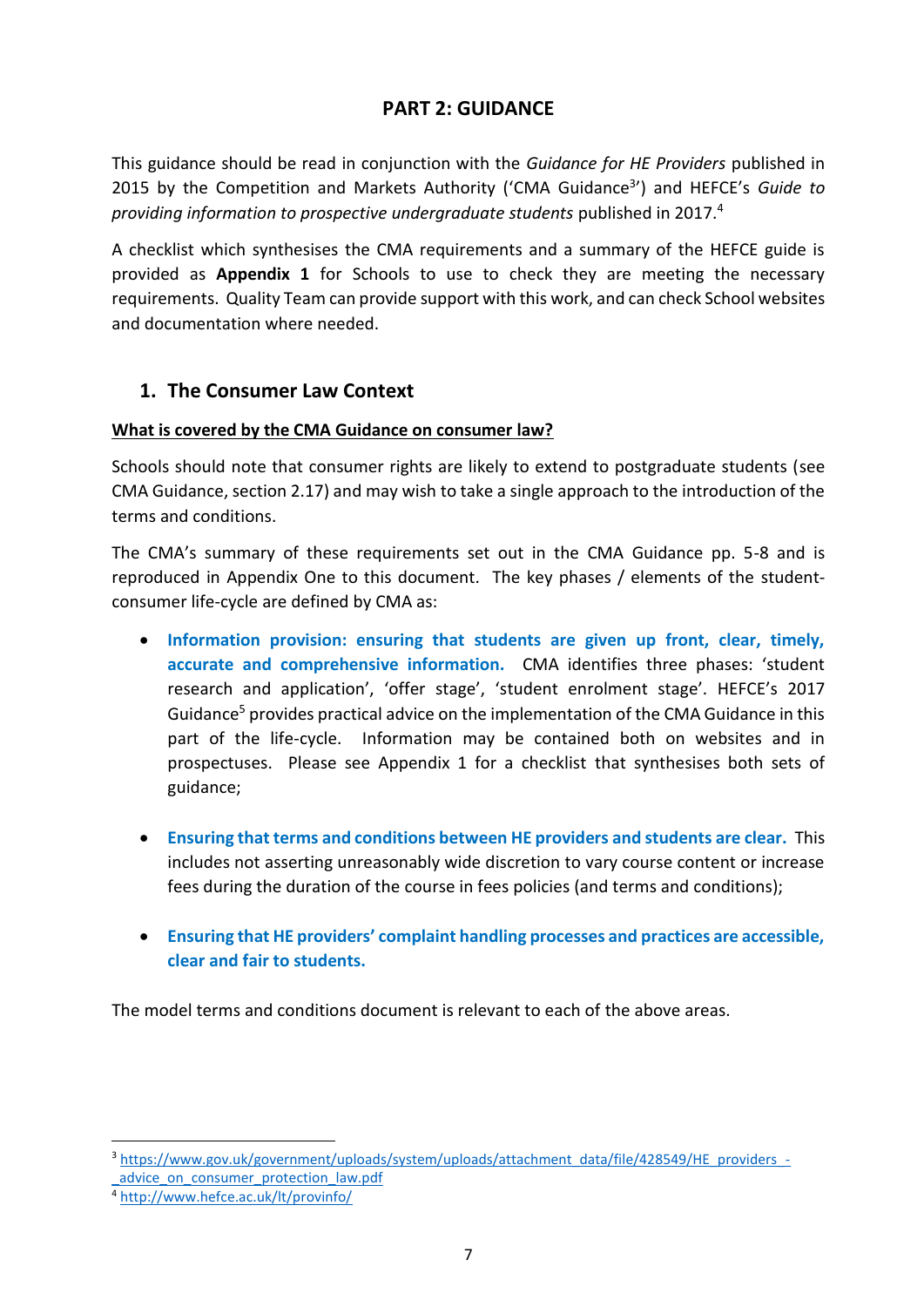### **PART 2: GUIDANCE**

This guidance should be read in conjunction with the *Guidance for HE Providers* published in 2015 by the Competition and Markets Authority ('CMA Guidance<sup>3</sup>') and HEFCE's Guide to *providing information to prospective undergraduate students* published in 2017.<sup>4</sup>

A checklist which synthesises the CMA requirements and a summary of the HEFCE guide is provided as **Appendix 1** for Schools to use to check they are meeting the necessary requirements. Quality Team can provide support with this work, and can check School websites and documentation where needed.

#### **1. The Consumer Law Context**

#### **What is covered by the CMA Guidance on consumer law?**

Schools should note that consumer rights are likely to extend to postgraduate students (see CMA Guidance, section 2.17) and may wish to take a single approach to the introduction of the terms and conditions.

The CMA's summary of these requirements set out in the CMA Guidance pp. 5-8 and is reproduced in Appendix One to this document. The key phases / elements of the studentconsumer life-cycle are defined by CMA as:

- **Information provision: ensuring that students are given up front, clear, timely, accurate and comprehensive information.** CMA identifies three phases: 'student research and application', 'offer stage', 'student enrolment stage'. HEFCE's 2017 Guidance<sup>5</sup> provides practical advice on the implementation of the CMA Guidance in this part of the life-cycle. Information may be contained both on websites and in prospectuses. Please see Appendix 1 for a checklist that synthesises both sets of guidance;
- **Ensuring that terms and conditions between HE providers and students are clear.** This includes not asserting unreasonably wide discretion to vary course content or increase fees during the duration of the course in fees policies (and terms and conditions);
- **Ensuring that HE providers' complaint handling processes and practices are accessible, clear and fair to students.**

The model terms and conditions document is relevant to each of the above areas.

<sup>3</sup> [https://www.gov.uk/government/uploads/system/uploads/attachment\\_data/file/428549/HE\\_providers\\_-](https://www.gov.uk/government/uploads/system/uploads/attachment_data/file/428549/HE_providers_-_advice_on_consumer_protection_law.pdf) [\\_advice\\_on\\_consumer\\_protection\\_law.pdf](https://www.gov.uk/government/uploads/system/uploads/attachment_data/file/428549/HE_providers_-_advice_on_consumer_protection_law.pdf)

<sup>4</sup> <http://www.hefce.ac.uk/lt/provinfo/>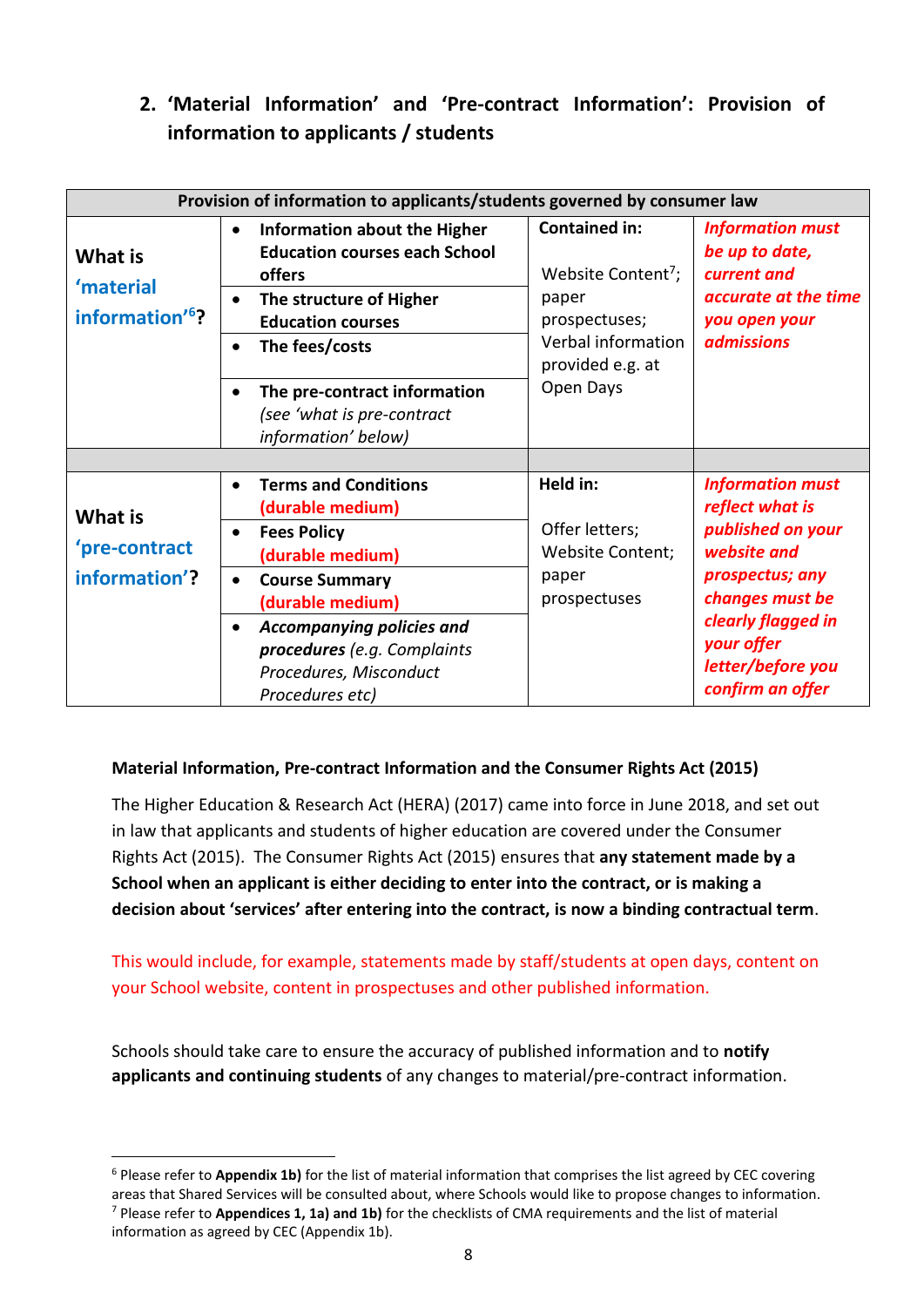# **2. 'Material Information' and 'Pre-contract Information': Provision of information to applicants / students**

| Provision of information to applicants/students governed by consumer law |                                                                                                                                                                                                                                                                           |                                                                                                                            |                                                                                                                                                                                                   |  |  |
|--------------------------------------------------------------------------|---------------------------------------------------------------------------------------------------------------------------------------------------------------------------------------------------------------------------------------------------------------------------|----------------------------------------------------------------------------------------------------------------------------|---------------------------------------------------------------------------------------------------------------------------------------------------------------------------------------------------|--|--|
| What is<br>'material<br>information' <sup>6</sup> ?                      | Information about the Higher<br>$\bullet$<br><b>Education courses each School</b><br>offers<br>The structure of Higher<br>$\bullet$<br><b>Education courses</b><br>The fees/costs                                                                                         | <b>Contained in:</b><br>Website Content <sup>7</sup> ;<br>paper<br>prospectuses;<br>Verbal information<br>provided e.g. at | <b>Information must</b><br>be up to date,<br>current and<br>accurate at the time<br>you open your<br><b>admissions</b>                                                                            |  |  |
|                                                                          | The pre-contract information<br>(see 'what is pre-contract<br>information' below)                                                                                                                                                                                         | Open Days                                                                                                                  |                                                                                                                                                                                                   |  |  |
| What is<br>'pre-contract<br>information'?                                | <b>Terms and Conditions</b><br>(durable medium)<br><b>Fees Policy</b><br>$\bullet$<br>(durable medium)<br><b>Course Summary</b><br>$\bullet$<br>(durable medium)<br>Accompanying policies and<br>procedures (e.g. Complaints<br>Procedures, Misconduct<br>Procedures etc) | Held in:<br>Offer letters;<br>Website Content;<br>paper<br>prospectuses                                                    | <b>Information must</b><br>reflect what is<br>published on your<br>website and<br>prospectus; any<br>changes must be<br>clearly flagged in<br>your offer<br>letter/before you<br>confirm an offer |  |  |

#### **Material Information, Pre-contract Information and the Consumer Rights Act (2015)**

The Higher Education & Research Act (HERA) (2017) came into force in June 2018, and set out in law that applicants and students of higher education are covered under the Consumer Rights Act (2015). The Consumer Rights Act (2015) ensures that **any statement made by a School when an applicant is either deciding to enter into the contract, or is making a decision about 'services' after entering into the contract, is now a binding contractual term**.

This would include, for example, statements made by staff/students at open days, content on your School website, content in prospectuses and other published information.

Schools should take care to ensure the accuracy of published information and to **notify applicants and continuing students** of any changes to material/pre-contract information.

<sup>6</sup> Please refer to **Appendix 1b)** for the list of material information that comprises the list agreed by CEC covering areas that Shared Services will be consulted about, where Schools would like to propose changes to information. <sup>7</sup> Please refer to **Appendices 1, 1a) and 1b)** for the checklists of CMA requirements and the list of material information as agreed by CEC (Appendix 1b).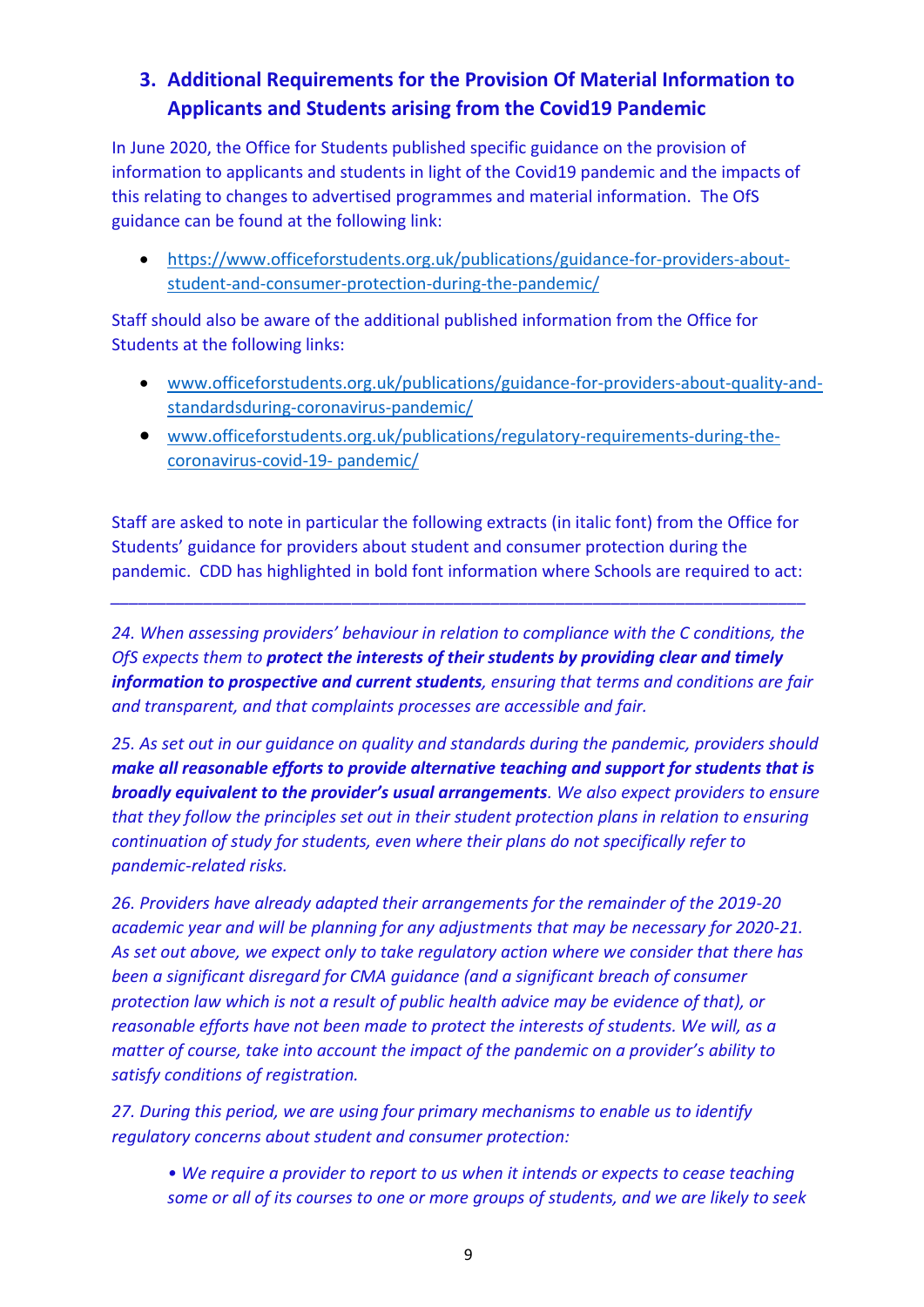# **3. Additional Requirements for the Provision Of Material Information to Applicants and Students arising from the Covid19 Pandemic**

In June 2020, the Office for Students published specific guidance on the provision of information to applicants and students in light of the Covid19 pandemic and the impacts of this relating to changes to advertised programmes and material information. The OfS guidance can be found at the following link:

• [https://www.officeforstudents.org.uk/publications/guidance-for-providers-about](https://www.officeforstudents.org.uk/publications/guidance-for-providers-about-student-and-consumer-protection-during-the-pandemic/)[student-and-consumer-protection-during-the-pandemic/](https://www.officeforstudents.org.uk/publications/guidance-for-providers-about-student-and-consumer-protection-during-the-pandemic/)

Staff should also be aware of the additional published information from the Office for Students at the following links:

- [www.officeforstudents.org.uk/publications/guidance-for-providers-about-quality-and](http://www.officeforstudents.org.uk/publications/guidance-for-providers-about-quality-and-standardsduring-coronavirus-pandemic/)[standardsduring-coronavirus-pandemic/](http://www.officeforstudents.org.uk/publications/guidance-for-providers-about-quality-and-standardsduring-coronavirus-pandemic/)
- [www.officeforstudents.org.uk/publications/regulatory-requirements-during-the](http://www.officeforstudents.org.uk/publications/regulatory-requirements-during-the-coronavirus-covid-19-%20pandemic/)[coronavirus-covid-19-](http://www.officeforstudents.org.uk/publications/regulatory-requirements-during-the-coronavirus-covid-19-%20pandemic/) pandemic/

Staff are asked to note in particular the following extracts (in italic font) from the Office for Students' guidance for providers about student and consumer protection during the pandemic. CDD has highlighted in bold font information where Schools are required to act:

*\_\_\_\_\_\_\_\_\_\_\_\_\_\_\_\_\_\_\_\_\_\_\_\_\_\_\_\_\_\_\_\_\_\_\_\_\_\_\_\_\_\_\_\_\_\_\_\_\_\_\_\_\_\_\_\_\_\_\_\_\_\_\_\_\_\_\_\_\_\_\_\_\_\_\_*

*24. When assessing providers' behaviour in relation to compliance with the C conditions, the OfS expects them to protect the interests of their students by providing clear and timely information to prospective and current students, ensuring that terms and conditions are fair and transparent, and that complaints processes are accessible and fair.* 

*25. As set out in our guidance on quality and standards during the pandemic, providers should make all reasonable efforts to provide alternative teaching and support for students that is broadly equivalent to the provider's usual arrangements. We also expect providers to ensure that they follow the principles set out in their student protection plans in relation to ensuring continuation of study for students, even where their plans do not specifically refer to pandemic-related risks.* 

*26. Providers have already adapted their arrangements for the remainder of the 2019-20 academic year and will be planning for any adjustments that may be necessary for 2020-21. As set out above, we expect only to take regulatory action where we consider that there has been a significant disregard for CMA guidance (and a significant breach of consumer protection law which is not a result of public health advice may be evidence of that), or reasonable efforts have not been made to protect the interests of students. We will, as a matter of course, take into account the impact of the pandemic on a provider's ability to satisfy conditions of registration.* 

*27. During this period, we are using four primary mechanisms to enable us to identify regulatory concerns about student and consumer protection:* 

*• We require a provider to report to us when it intends or expects to cease teaching some or all of its courses to one or more groups of students, and we are likely to seek*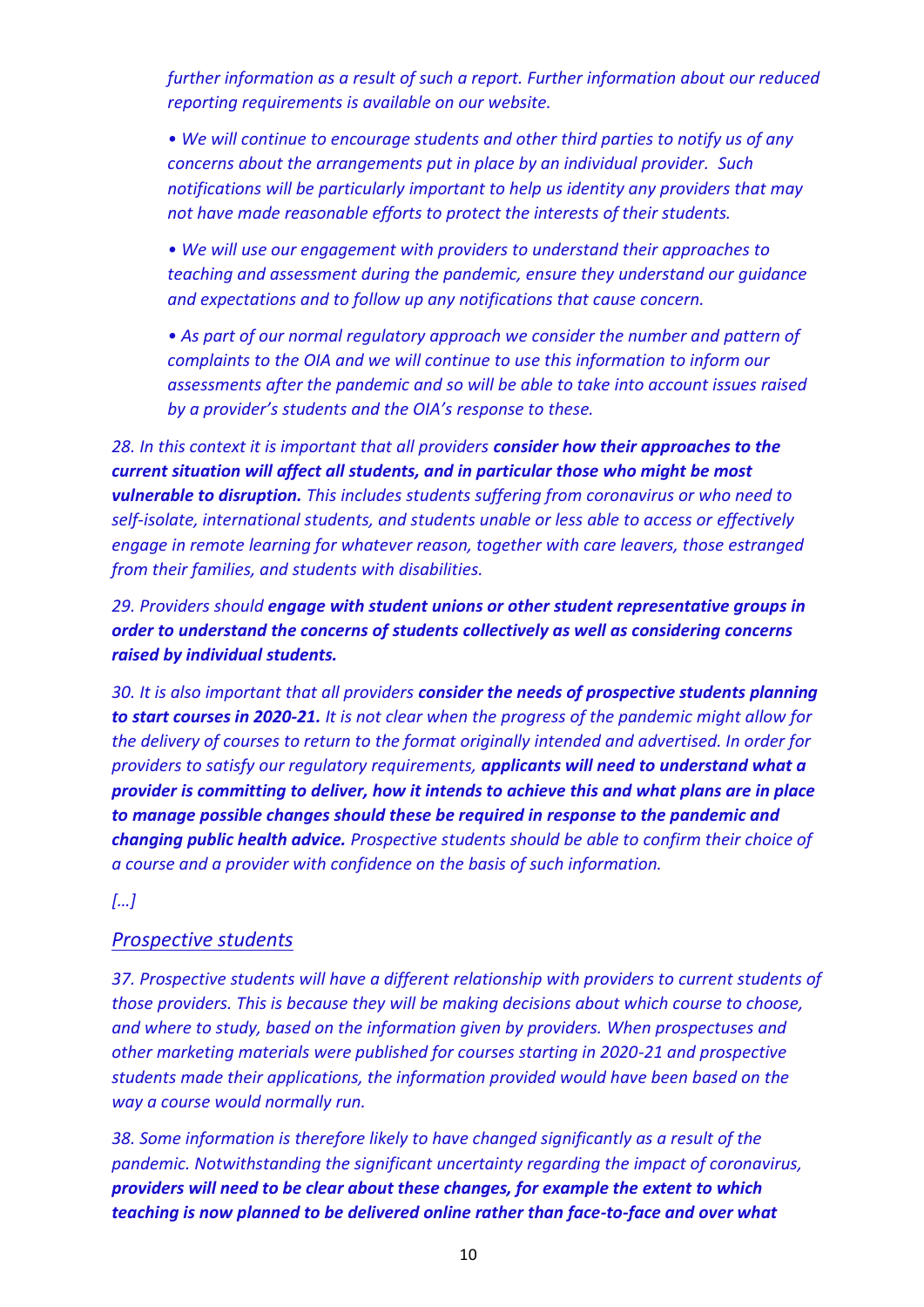*further information as a result of such a report. Further information about our reduced reporting requirements is available on our website.* 

*• We will continue to encourage students and other third parties to notify us of any concerns about the arrangements put in place by an individual provider. Such notifications will be particularly important to help us identity any providers that may not have made reasonable efforts to protect the interests of their students.* 

*• We will use our engagement with providers to understand their approaches to teaching and assessment during the pandemic, ensure they understand our guidance and expectations and to follow up any notifications that cause concern.* 

*• As part of our normal regulatory approach we consider the number and pattern of complaints to the OIA and we will continue to use this information to inform our assessments after the pandemic and so will be able to take into account issues raised by a provider's students and the OIA's response to these.* 

*28. In this context it is important that all providers consider how their approaches to the current situation will affect all students, and in particular those who might be most vulnerable to disruption. This includes students suffering from coronavirus or who need to self-isolate, international students, and students unable or less able to access or effectively engage in remote learning for whatever reason, together with care leavers, those estranged from their families, and students with disabilities.* 

*29. Providers should engage with student unions or other student representative groups in order to understand the concerns of students collectively as well as considering concerns raised by individual students.* 

*30. It is also important that all providers consider the needs of prospective students planning to start courses in 2020-21. It is not clear when the progress of the pandemic might allow for the delivery of courses to return to the format originally intended and advertised. In order for providers to satisfy our regulatory requirements, applicants will need to understand what a provider is committing to deliver, how it intends to achieve this and what plans are in place to manage possible changes should these be required in response to the pandemic and changing public health advice. Prospective students should be able to confirm their choice of a course and a provider with confidence on the basis of such information.*

*[…]*

#### *Prospective students*

*37. Prospective students will have a different relationship with providers to current students of those providers. This is because they will be making decisions about which course to choose, and where to study, based on the information given by providers. When prospectuses and other marketing materials were published for courses starting in 2020-21 and prospective students made their applications, the information provided would have been based on the way a course would normally run.* 

*38. Some information is therefore likely to have changed significantly as a result of the pandemic. Notwithstanding the significant uncertainty regarding the impact of coronavirus, providers will need to be clear about these changes, for example the extent to which teaching is now planned to be delivered online rather than face-to-face and over what*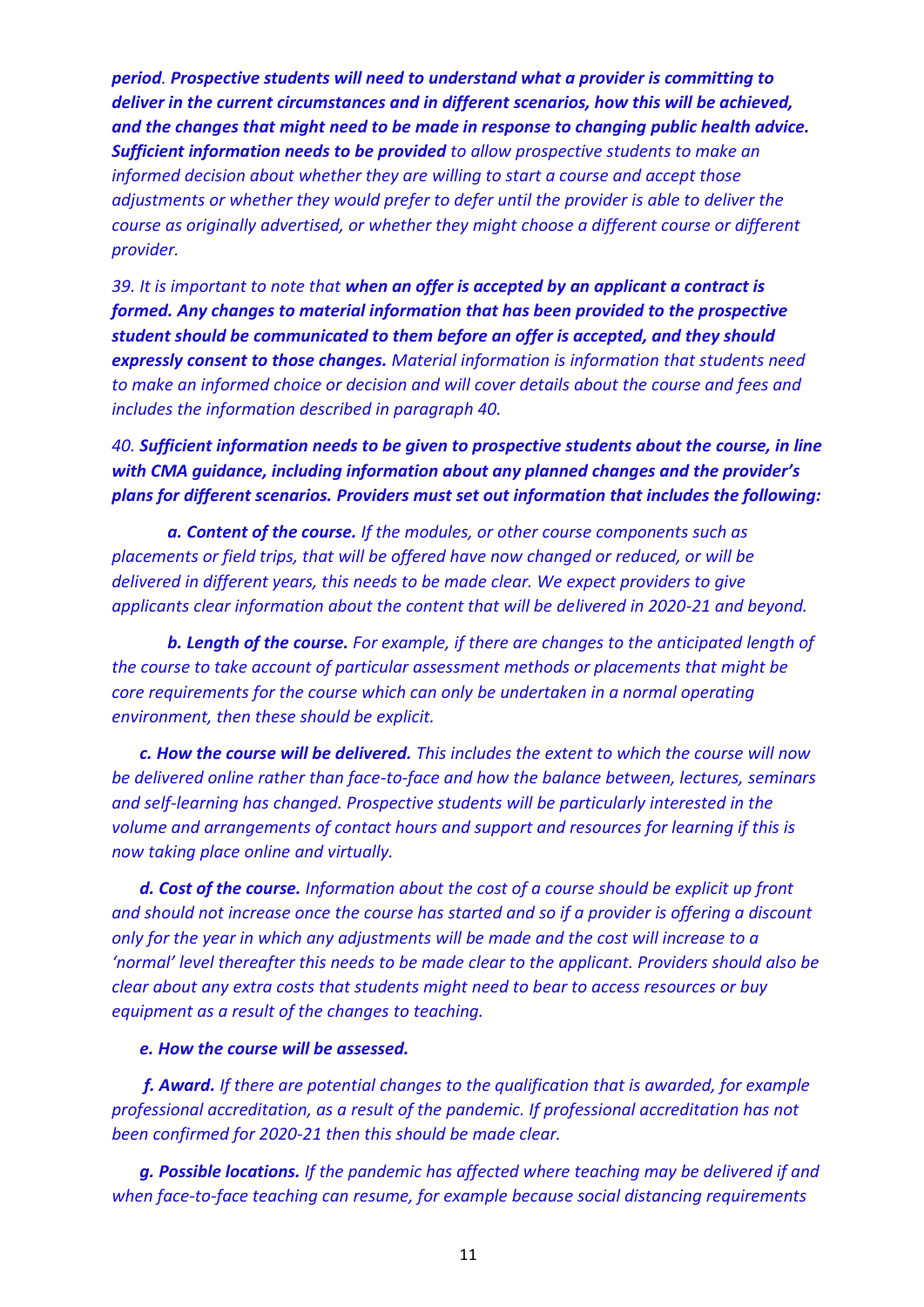*period. Prospective students will need to understand what a provider is committing to deliver in the current circumstances and in different scenarios, how this will be achieved, and the changes that might need to be made in response to changing public health advice. Sufficient information needs to be provided to allow prospective students to make an informed decision about whether they are willing to start a course and accept those adjustments or whether they would prefer to defer until the provider is able to deliver the course as originally advertised, or whether they might choose a different course or different provider.* 

*39. It is important to note that when an offer is accepted by an applicant a contract is formed. Any changes to material information that has been provided to the prospective student should be communicated to them before an offer is accepted, and they should expressly consent to those changes. Material information is information that students need to make an informed choice or decision and will cover details about the course and fees and includes the information described in paragraph 40.* 

*40. Sufficient information needs to be given to prospective students about the course, in line with CMA guidance, including information about any planned changes and the provider's plans for different scenarios. Providers must set out information that includes the following:* 

*a. Content of the course. If the modules, or other course components such as placements or field trips, that will be offered have now changed or reduced, or will be delivered in different years, this needs to be made clear. We expect providers to give applicants clear information about the content that will be delivered in 2020-21 and beyond.* 

*b. Length of the course. For example, if there are changes to the anticipated length of the course to take account of particular assessment methods or placements that might be core requirements for the course which can only be undertaken in a normal operating environment, then these should be explicit.* 

*c. How the course will be delivered. This includes the extent to which the course will now be delivered online rather than face-to-face and how the balance between, lectures, seminars and self-learning has changed. Prospective students will be particularly interested in the volume and arrangements of contact hours and support and resources for learning if this is now taking place online and virtually.* 

*d. Cost of the course. Information about the cost of a course should be explicit up front and should not increase once the course has started and so if a provider is offering a discount only for the year in which any adjustments will be made and the cost will increase to a 'normal' level thereafter this needs to be made clear to the applicant. Providers should also be clear about any extra costs that students might need to bear to access resources or buy equipment as a result of the changes to teaching.* 

#### *e. How the course will be assessed.*

*f. Award. If there are potential changes to the qualification that is awarded, for example professional accreditation, as a result of the pandemic. If professional accreditation has not been confirmed for 2020-21 then this should be made clear.* 

*g. Possible locations. If the pandemic has affected where teaching may be delivered if and when face-to-face teaching can resume, for example because social distancing requirements*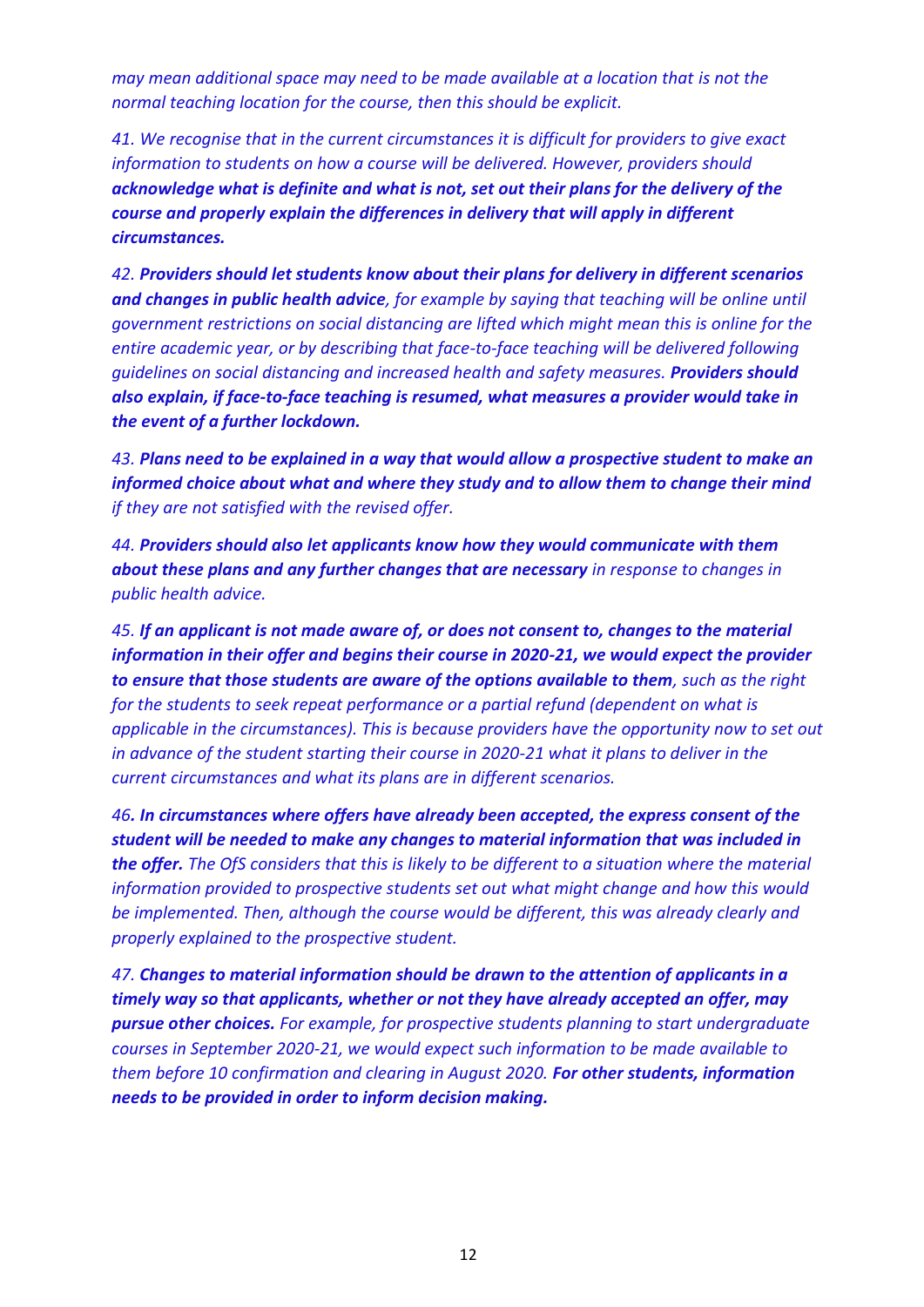*may mean additional space may need to be made available at a location that is not the normal teaching location for the course, then this should be explicit.* 

*41. We recognise that in the current circumstances it is difficult for providers to give exact information to students on how a course will be delivered. However, providers should acknowledge what is definite and what is not, set out their plans for the delivery of the course and properly explain the differences in delivery that will apply in different circumstances.*

*42. Providers should let students know about their plans for delivery in different scenarios and changes in public health advice, for example by saying that teaching will be online until government restrictions on social distancing are lifted which might mean this is online for the entire academic year, or by describing that face-to-face teaching will be delivered following guidelines on social distancing and increased health and safety measures. Providers should also explain, if face-to-face teaching is resumed, what measures a provider would take in the event of a further lockdown.*

*43. Plans need to be explained in a way that would allow a prospective student to make an informed choice about what and where they study and to allow them to change their mind if they are not satisfied with the revised offer.* 

*44. Providers should also let applicants know how they would communicate with them about these plans and any further changes that are necessary in response to changes in public health advice.* 

*45. If an applicant is not made aware of, or does not consent to, changes to the material information in their offer and begins their course in 2020-21, we would expect the provider to ensure that those students are aware of the options available to them, such as the right for the students to seek repeat performance or a partial refund (dependent on what is applicable in the circumstances). This is because providers have the opportunity now to set out in advance of the student starting their course in 2020-21 what it plans to deliver in the current circumstances and what its plans are in different scenarios.* 

*46. In circumstances where offers have already been accepted, the express consent of the student will be needed to make any changes to material information that was included in the offer. The OfS considers that this is likely to be different to a situation where the material information provided to prospective students set out what might change and how this would be implemented. Then, although the course would be different, this was already clearly and properly explained to the prospective student.* 

*47. Changes to material information should be drawn to the attention of applicants in a timely way so that applicants, whether or not they have already accepted an offer, may pursue other choices. For example, for prospective students planning to start undergraduate courses in September 2020-21, we would expect such information to be made available to them before 10 confirmation and clearing in August 2020. For other students, information needs to be provided in order to inform decision making.*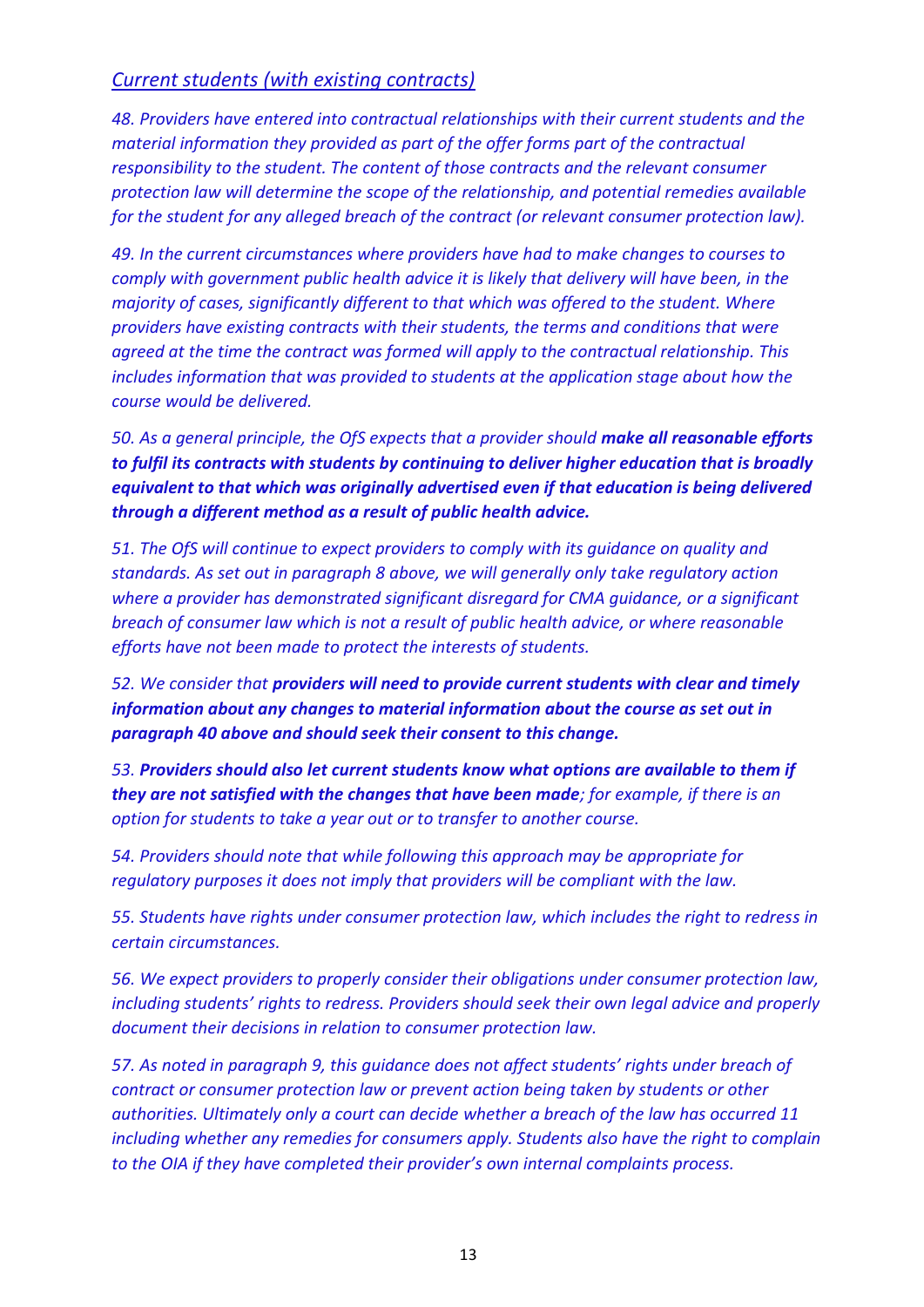#### *Current students (with existing contracts)*

*48. Providers have entered into contractual relationships with their current students and the material information they provided as part of the offer forms part of the contractual responsibility to the student. The content of those contracts and the relevant consumer protection law will determine the scope of the relationship, and potential remedies available for the student for any alleged breach of the contract (or relevant consumer protection law).* 

*49. In the current circumstances where providers have had to make changes to courses to comply with government public health advice it is likely that delivery will have been, in the majority of cases, significantly different to that which was offered to the student. Where providers have existing contracts with their students, the terms and conditions that were agreed at the time the contract was formed will apply to the contractual relationship. This includes information that was provided to students at the application stage about how the course would be delivered.* 

*50. As a general principle, the OfS expects that a provider should make all reasonable efforts to fulfil its contracts with students by continuing to deliver higher education that is broadly equivalent to that which was originally advertised even if that education is being delivered through a different method as a result of public health advice.*

*51. The OfS will continue to expect providers to comply with its guidance on quality and standards. As set out in paragraph 8 above, we will generally only take regulatory action where a provider has demonstrated significant disregard for CMA guidance, or a significant breach of consumer law which is not a result of public health advice, or where reasonable efforts have not been made to protect the interests of students.* 

*52. We consider that providers will need to provide current students with clear and timely information about any changes to material information about the course as set out in paragraph 40 above and should seek their consent to this change.*

*53. Providers should also let current students know what options are available to them if they are not satisfied with the changes that have been made; for example, if there is an option for students to take a year out or to transfer to another course.* 

*54. Providers should note that while following this approach may be appropriate for regulatory purposes it does not imply that providers will be compliant with the law.* 

*55. Students have rights under consumer protection law, which includes the right to redress in certain circumstances.* 

*56. We expect providers to properly consider their obligations under consumer protection law, including students' rights to redress. Providers should seek their own legal advice and properly document their decisions in relation to consumer protection law.* 

*57. As noted in paragraph 9, this guidance does not affect students' rights under breach of contract or consumer protection law or prevent action being taken by students or other authorities. Ultimately only a court can decide whether a breach of the law has occurred 11 including whether any remedies for consumers apply. Students also have the right to complain to the OIA if they have completed their provider's own internal complaints process.*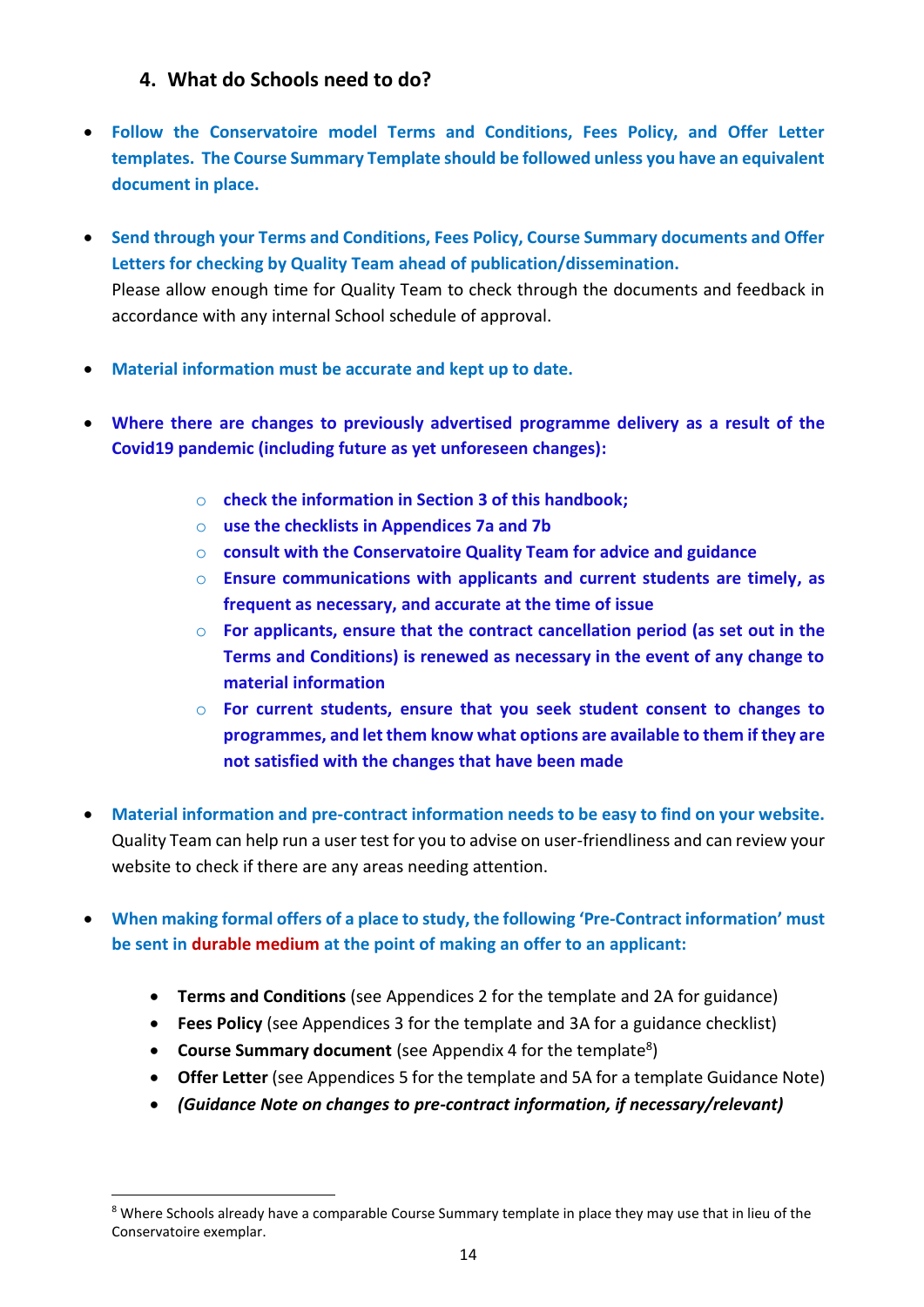#### **4. What do Schools need to do?**

- **Follow the Conservatoire model Terms and Conditions, Fees Policy, and Offer Letter templates. The Course Summary Template should be followed unless you have an equivalent document in place.**
- **Send through your Terms and Conditions, Fees Policy, Course Summary documents and Offer Letters for checking by Quality Team ahead of publication/dissemination.**  Please allow enough time for Quality Team to check through the documents and feedback in accordance with any internal School schedule of approval.
- **Material information must be accurate and kept up to date.**
- **Where there are changes to previously advertised programme delivery as a result of the Covid19 pandemic (including future as yet unforeseen changes):**
	- o **check the information in Section 3 of this handbook;**
	- o **use the checklists in Appendices 7a and 7b**
	- o **consult with the Conservatoire Quality Team for advice and guidance**
	- o **Ensure communications with applicants and current students are timely, as frequent as necessary, and accurate at the time of issue**
	- o **For applicants, ensure that the contract cancellation period (as set out in the Terms and Conditions) is renewed as necessary in the event of any change to material information**
	- o **For current students, ensure that you seek student consent to changes to programmes, and let them know what options are available to them if they are not satisfied with the changes that have been made**
- **Material information and pre-contract information needs to be easy to find on your website.**  Quality Team can help run a user test for you to advise on user-friendliness and can review your website to check if there are any areas needing attention.
- **When making formal offers of a place to study, the following 'Pre-Contract information' must be sent in durable medium at the point of making an offer to an applicant:**
	- **Terms and Conditions** (see Appendices 2 for the template and 2A for guidance)
	- **Fees Policy** (see Appendices 3 for the template and 3A for a guidance checklist)
	- **Course Summary document** (see Appendix 4 for the template<sup>8</sup>)
	- **Offer Letter** (see Appendices 5 for the template and 5A for a template Guidance Note)
	- *(Guidance Note on changes to pre-contract information, if necessary/relevant)*

<sup>&</sup>lt;sup>8</sup> Where Schools already have a comparable Course Summary template in place they may use that in lieu of the Conservatoire exemplar.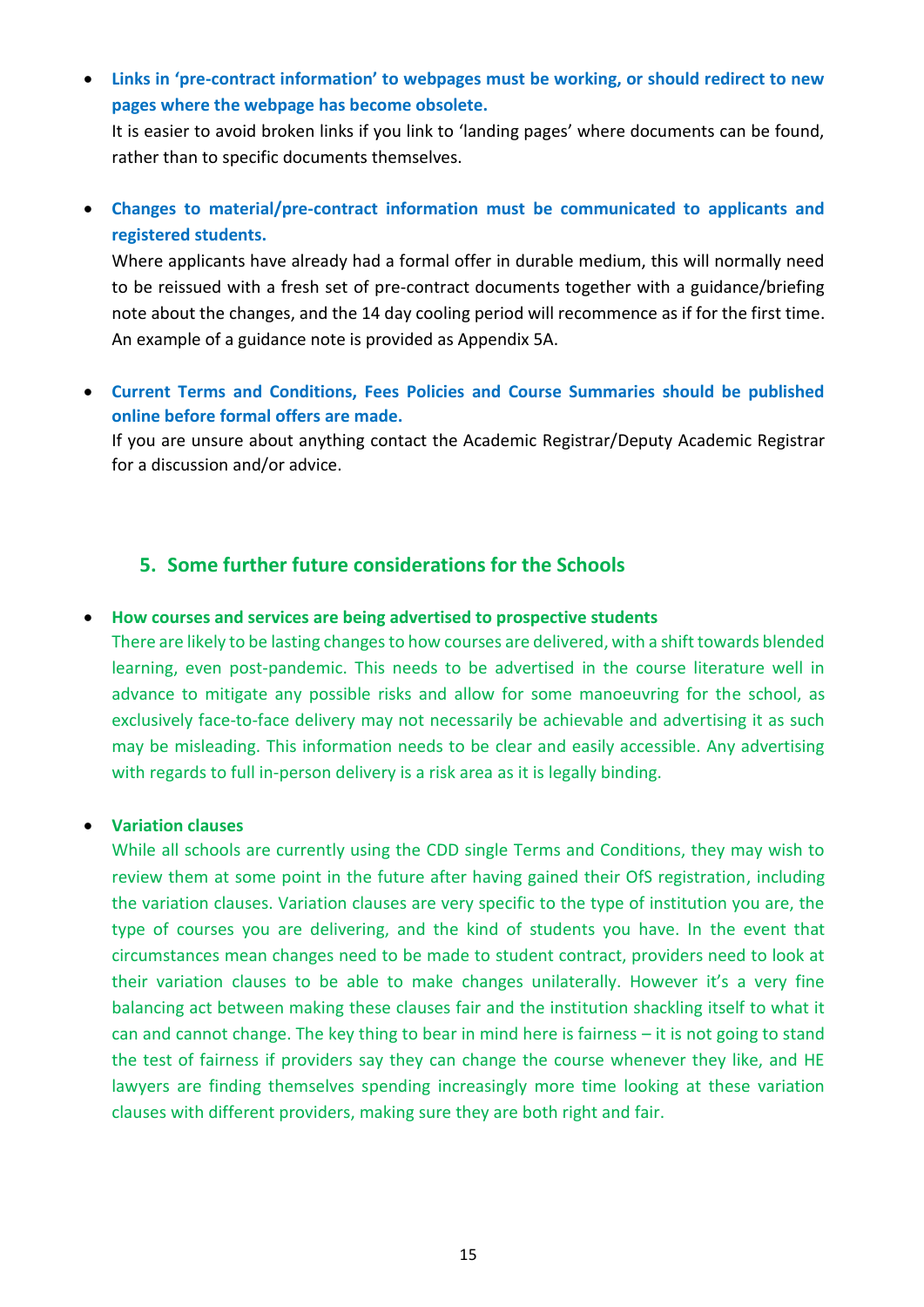• **Links in 'pre-contract information' to webpages must be working, or should redirect to new pages where the webpage has become obsolete.**

It is easier to avoid broken links if you link to 'landing pages' where documents can be found, rather than to specific documents themselves.

• **Changes to material/pre-contract information must be communicated to applicants and registered students.** 

Where applicants have already had a formal offer in durable medium, this will normally need to be reissued with a fresh set of pre-contract documents together with a guidance/briefing note about the changes, and the 14 day cooling period will recommence as if for the first time. An example of a guidance note is provided as Appendix 5A.

• **Current Terms and Conditions, Fees Policies and Course Summaries should be published online before formal offers are made.**

If you are unsure about anything contact the Academic Registrar/Deputy Academic Registrar for a discussion and/or advice.

#### **5. Some further future considerations for the Schools**

#### • **How courses and services are being advertised to prospective students**

There are likely to be lasting changes to how courses are delivered, with a shift towards blended learning, even post-pandemic. This needs to be advertised in the course literature well in advance to mitigate any possible risks and allow for some manoeuvring for the school, as exclusively face-to-face delivery may not necessarily be achievable and advertising it as such may be misleading. This information needs to be clear and easily accessible. Any advertising with regards to full in-person delivery is a risk area as it is legally binding.

#### • **Variation clauses**

While all schools are currently using the CDD single Terms and Conditions, they may wish to review them at some point in the future after having gained their OfS registration, including the variation clauses. Variation clauses are very specific to the type of institution you are, the type of courses you are delivering, and the kind of students you have. In the event that circumstances mean changes need to be made to student contract, providers need to look at their variation clauses to be able to make changes unilaterally. However it's a very fine balancing act between making these clauses fair and the institution shackling itself to what it can and cannot change. The key thing to bear in mind here is fairness – it is not going to stand the test of fairness if providers say they can change the course whenever they like, and HE lawyers are finding themselves spending increasingly more time looking at these variation clauses with different providers, making sure they are both right and fair.